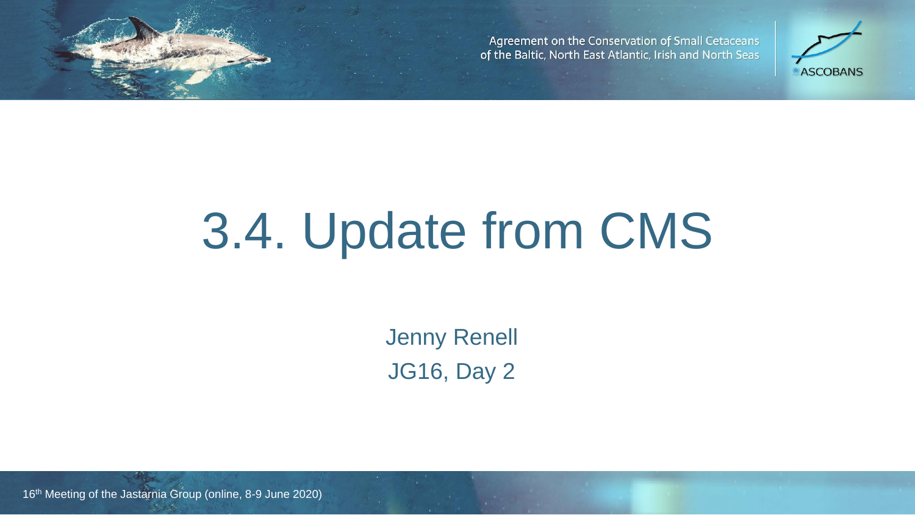Agreement on the Conservation of Small Cetaceans of the Baltic, North East Atlantic, Irish and North Seas



## 3.4. Update from CMS

de Ascobans Ascobans Ascobans Ascobans and District (Vilnius, 2018). Law 2018, Day 2018. Jenny Renell

16<sup>th</sup> Meeting of the Jastarnia Group (online, 8-9 June 2020)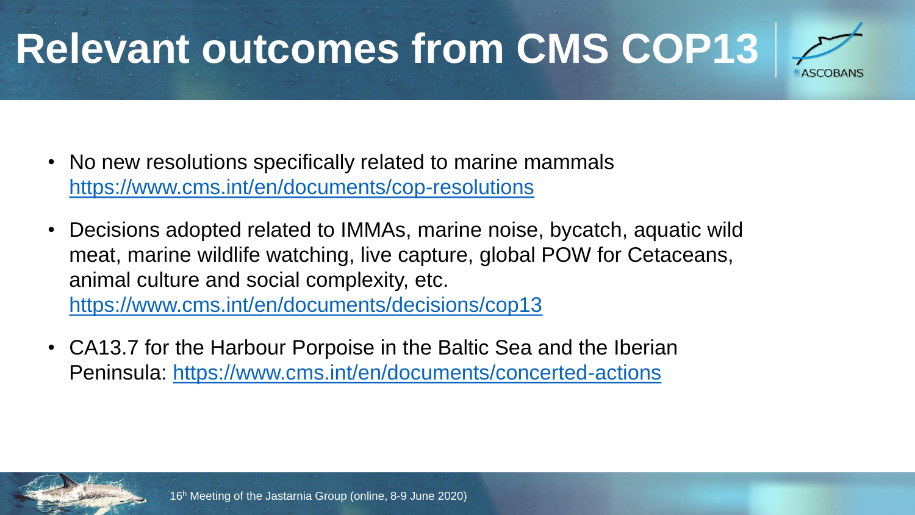## **Relevant outcomes from CMS COP13**

- No new resolutions specifically related to marine mammals <https://www.cms.int/en/documents/cop-resolutions>
- Decisions adopted related to IMMAs, marine noise, bycatch, aquatic wild meat, marine wildlife watching, live capture, global POW for Cetaceans, animal culture and social complexity, etc. <https://www.cms.int/en/documents/decisions/cop13>
- CA13.7 for the Harbour Porpoise in the Baltic Sea and the Iberian Peninsula:<https://www.cms.int/en/documents/concerted-actions>